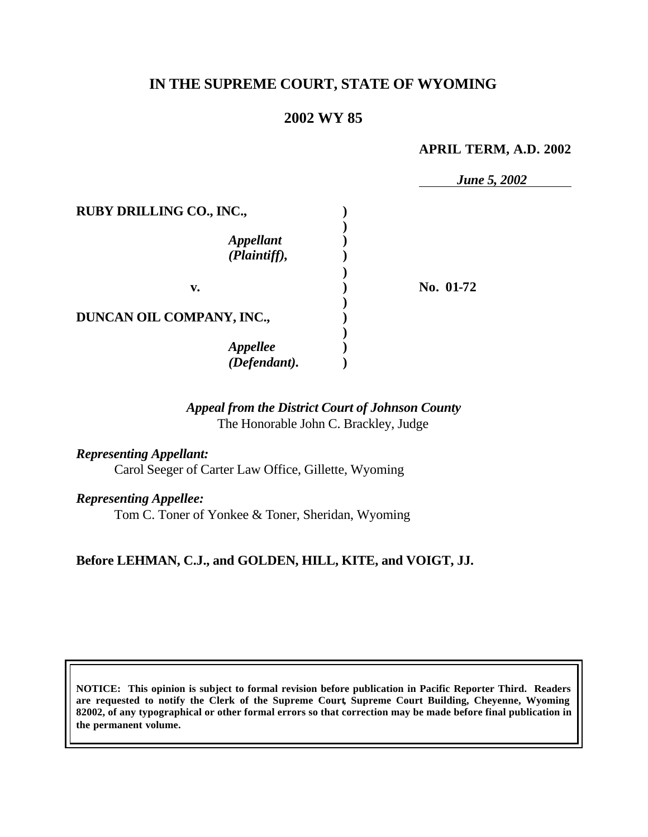# **IN THE SUPREME COURT, STATE OF WYOMING**

# **2002 WY 85**

### **APRIL TERM, A.D. 2002**

*June 5, 2002*

| <b>RUBY DRILLING CO., INC.,</b>  |           |
|----------------------------------|-----------|
| <b>Appellant</b><br>(Plaintiff), |           |
| v.                               | No. 01-72 |
| DUNCAN OIL COMPANY, INC.,        |           |
| <b>Appellee</b><br>(Defendant).  |           |

### *Appeal from the District Court of Johnson County* The Honorable John C. Brackley, Judge

*Representing Appellant:* Carol Seeger of Carter Law Office, Gillette, Wyoming

*Representing Appellee:*

Tom C. Toner of Yonkee & Toner, Sheridan, Wyoming

## **Before LEHMAN, C.J., and GOLDEN, HILL, KITE, and VOIGT, JJ.**

**NOTICE: This opinion is subject to formal revision before publication in Pacific Reporter Third. Readers are requested to notify the Clerk of the Supreme Court, Supreme Court Building, Cheyenne, Wyoming 82002, of any typographical or other formal errors so that correction may be made before final publication in the permanent volume.**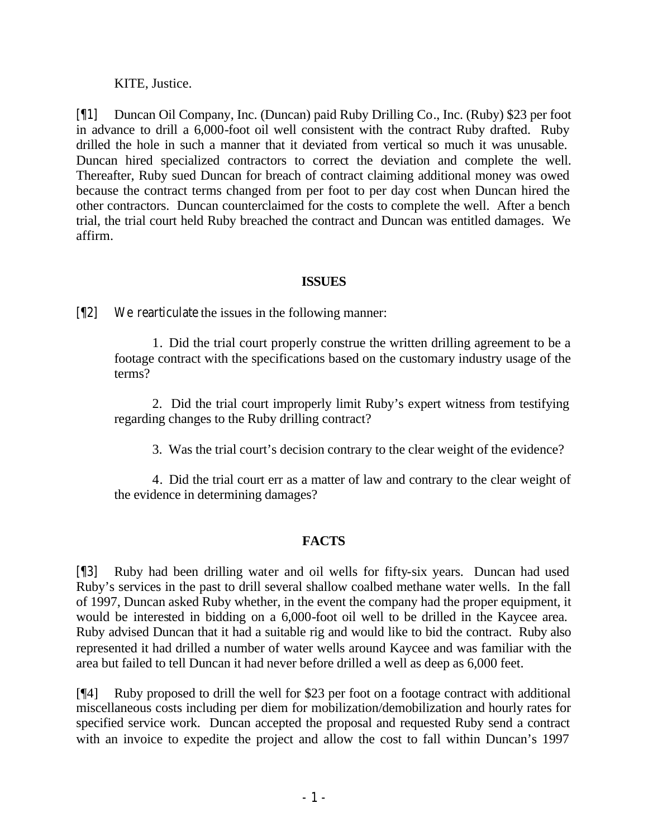KITE, Justice.

[¶1] Duncan Oil Company, Inc. (Duncan) paid Ruby Drilling Co., Inc. (Ruby) \$23 per foot in advance to drill a 6,000-foot oil well consistent with the contract Ruby drafted. Ruby drilled the hole in such a manner that it deviated from vertical so much it was unusable. Duncan hired specialized contractors to correct the deviation and complete the well. Thereafter, Ruby sued Duncan for breach of contract claiming additional money was owed because the contract terms changed from per foot to per day cost when Duncan hired the other contractors. Duncan counterclaimed for the costs to complete the well. After a bench trial, the trial court held Ruby breached the contract and Duncan was entitled damages. We affirm.

### **ISSUES**

[¶2] We rearticulate the issues in the following manner:

1. Did the trial court properly construe the written drilling agreement to be a footage contract with the specifications based on the customary industry usage of the terms?

2. Did the trial court improperly limit Ruby's expert witness from testifying regarding changes to the Ruby drilling contract?

3. Was the trial court's decision contrary to the clear weight of the evidence?

4. Did the trial court err as a matter of law and contrary to the clear weight of the evidence in determining damages?

## **FACTS**

[¶3] Ruby had been drilling water and oil wells for fifty-six years. Duncan had used Ruby's services in the past to drill several shallow coalbed methane water wells. In the fall of 1997, Duncan asked Ruby whether, in the event the company had the proper equipment, it would be interested in bidding on a 6,000-foot oil well to be drilled in the Kaycee area. Ruby advised Duncan that it had a suitable rig and would like to bid the contract.Ruby also represented it had drilled a number of water wells around Kaycee and was familiar with the area but failed to tell Duncan it had never before drilled a well as deep as 6,000 feet.

[¶4] Ruby proposed to drill the well for \$23 per foot on a footage contract with additional miscellaneous costs including per diem for mobilization/demobilization and hourly rates for specified service work. Duncan accepted the proposal and requested Ruby send a contract with an invoice to expedite the project and allow the cost to fall within Duncan's 1997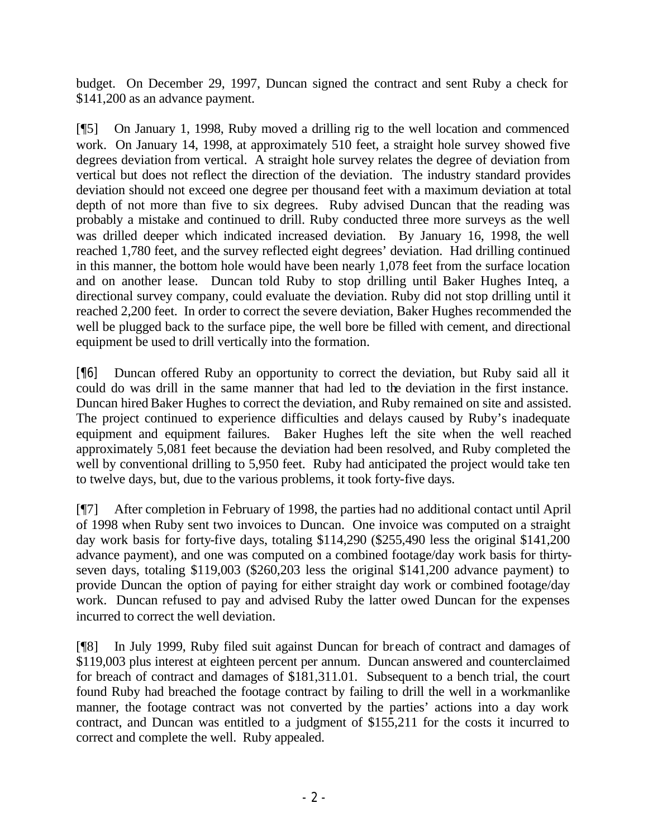budget. On December 29, 1997, Duncan signed the contract and sent Ruby a check for \$141,200 as an advance payment.

[¶5] On January 1, 1998, Ruby moved a drilling rig to the well location and commenced work. On January 14, 1998, at approximately 510 feet, a straight hole survey showed five degrees deviation from vertical. A straight hole survey relates the degree of deviation from vertical but does not reflect the direction of the deviation. The industry standard provides deviation should not exceed one degree per thousand feet with a maximum deviation at total depth of not more than five to six degrees. Ruby advised Duncan that the reading was probably a mistake and continued to drill. Ruby conducted three more surveys as the well was drilled deeper which indicated increased deviation. By January 16, 1998, the well reached 1,780 feet, and the survey reflected eight degrees' deviation. Had drilling continued in this manner, the bottom hole would have been nearly 1,078 feet from the surface location and on another lease. Duncan told Ruby to stop drilling until Baker Hughes Inteq, a directional survey company, could evaluate the deviation. Ruby did not stop drilling until it reached 2,200 feet. In order to correct the severe deviation, Baker Hughes recommended the well be plugged back to the surface pipe, the well bore be filled with cement, and directional equipment be used to drill vertically into the formation.

[¶6] Duncan offered Ruby an opportunity to correct the deviation, but Ruby said all it could do was drill in the same manner that had led to the deviation in the first instance. Duncan hired Baker Hughes to correct the deviation, and Ruby remained on site and assisted. The project continued to experience difficulties and delays caused by Ruby's inadequate equipment and equipment failures. Baker Hughes left the site when the well reached approximately 5,081 feet because the deviation had been resolved, and Ruby completed the well by conventional drilling to 5,950 feet. Ruby had anticipated the project would take ten to twelve days, but, due to the various problems, it took forty-five days.

[¶7] After completion in February of 1998, the parties had no additional contact until April of 1998 when Ruby sent two invoices to Duncan. One invoice was computed on a straight day work basis for forty-five days, totaling \$114,290 (\$255,490 less the original \$141,200 advance payment), and one was computed on a combined footage/day work basis for thirtyseven days, totaling \$119,003 (\$260,203 less the original \$141,200 advance payment) to provide Duncan the option of paying for either straight day work or combined footage/day work. Duncan refused to pay and advised Ruby the latter owed Duncan for the expenses incurred to correct the well deviation.

[¶8] In July 1999, Ruby filed suit against Duncan for breach of contract and damages of \$119,003 plus interest at eighteen percent per annum. Duncan answered and counterclaimed for breach of contract and damages of \$181,311.01. Subsequent to a bench trial, the court found Ruby had breached the footage contract by failing to drill the well in a workmanlike manner, the footage contract was not converted by the parties' actions into a day work contract, and Duncan was entitled to a judgment of \$155,211 for the costs it incurred to correct and complete the well. Ruby appealed.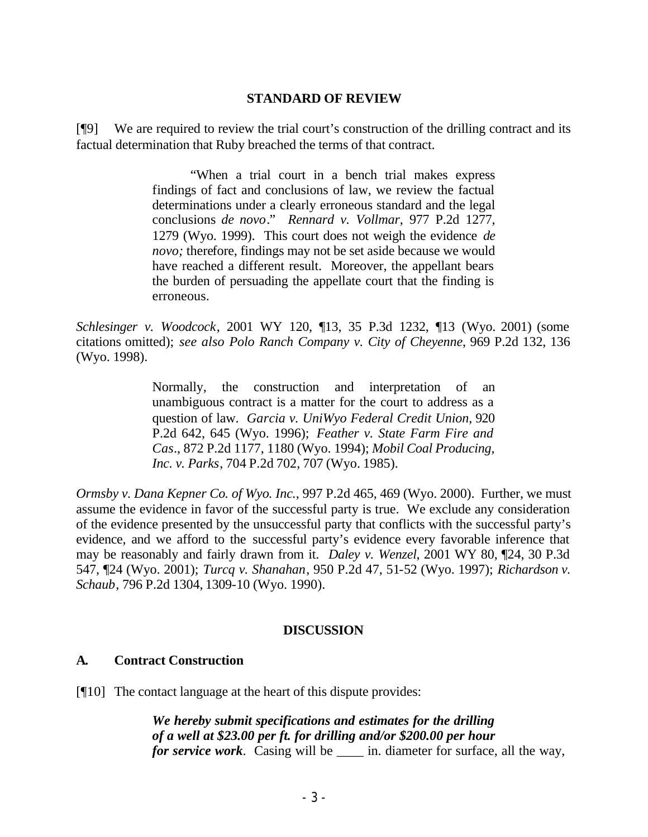#### **STANDARD OF REVIEW**

[¶9] We are required to review the trial court's construction of the drilling contract and its factual determination that Ruby breached the terms of that contract.

> "When a trial court in a bench trial makes express findings of fact and conclusions of law, we review the factual determinations under a clearly erroneous standard and the legal conclusions *de novo*." *Rennard v. Vollmar*, 977 P.2d 1277, 1279 (Wyo. 1999). This court does not weigh the evidence *de novo;* therefore, findings may not be set aside because we would have reached a different result. Moreover, the appellant bears the burden of persuading the appellate court that the finding is erroneous.

*Schlesinger v. Woodcock*, 2001 WY 120, ¶13, 35 P.3d 1232, ¶13 (Wyo. 2001) (some citations omitted); *see also Polo Ranch Company v. City of Cheyenne*, 969 P.2d 132, 136 (Wyo. 1998).

> Normally, the construction and interpretation of an unambiguous contract is a matter for the court to address as a question of law. *Garcia v. UniWyo Federal Credit Union*, 920 P.2d 642, 645 (Wyo. 1996); *Feather v. State Farm Fire and Cas*., 872 P.2d 1177, 1180 (Wyo. 1994); *Mobil Coal Producing, Inc. v. Parks*, 704 P.2d 702, 707 (Wyo. 1985).

*Ormsby v. Dana Kepner Co. of Wyo. Inc.*, 997 P.2d 465, 469 (Wyo. 2000). Further, we must assume the evidence in favor of the successful party is true. We exclude any consideration of the evidence presented by the unsuccessful party that conflicts with the successful party's evidence, and we afford to the successful party's evidence every favorable inference that may be reasonably and fairly drawn from it. *Daley v. Wenzel*, 2001 WY 80, ¶24, 30 P.3d 547, ¶24 (Wyo. 2001); *Turcq v. Shanahan*, 950 P.2d 47, 51-52 (Wyo. 1997); *Richardson v. Schaub*, 796 P.2d 1304, 1309-10 (Wyo. 1990).

#### **DISCUSSION**

### **A. Contract Construction**

[¶10] The contact language at the heart of this dispute provides:

*We hereby submit specifications and estimates for the drilling of a well at \$23.00 per ft. for drilling and/or \$200.00 per hour for service work*. Casing will be \_\_\_\_\_ in. diameter for surface, all the way,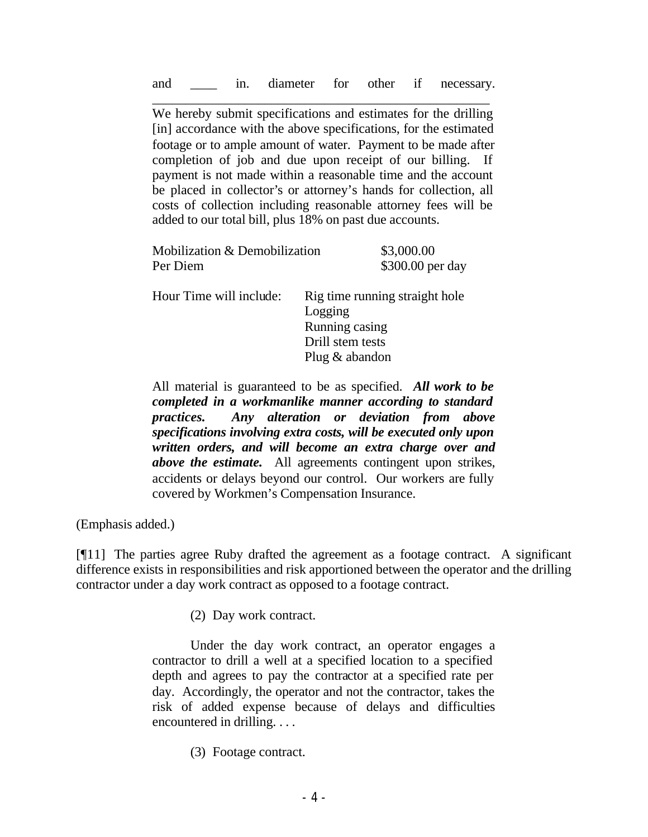\_\_\_\_\_\_\_\_\_\_\_\_\_\_\_\_\_\_\_\_\_\_\_\_\_\_\_\_\_\_\_\_\_\_\_\_\_\_\_\_\_\_\_\_\_\_\_\_\_\_\_ We hereby submit specifications and estimates for the drilling [in] accordance with the above specifications, for the estimated footage or to ample amount of water. Payment to be made after completion of job and due upon receipt of our billing. If payment is not made within a reasonable time and the account be placed in collector's or attorney's hands for collection, all costs of collection including reasonable attorney fees will be added to our total bill, plus 18% on past due accounts.

| Mobilization & Demobilization | \$3,000.00                     |  |
|-------------------------------|--------------------------------|--|
| Per Diem                      | \$300.00 per day               |  |
| Hour Time will include:       | Rig time running straight hole |  |
|                               | Logging                        |  |
|                               | Running casing                 |  |
|                               | Drill stem tests               |  |
|                               | Plug $&$ abandon               |  |

All material is guaranteed to be as specified. *All work to be completed in a workmanlike manner according to standard practices. Any alteration or deviation from above specifications involving extra costs, will be executed only upon written orders, and will become an extra charge over and above the estimate.* All agreements contingent upon strikes, accidents or delays beyond our control. Our workers are fully covered by Workmen's Compensation Insurance.

(Emphasis added.)

 $[$ [[11] The parties agree Ruby drafted the agreement as a footage contract. A significant difference exists in responsibilities and risk apportioned between the operator and the drilling contractor under a day work contract as opposed to a footage contract.

(2) Day work contract.

Under the day work contract, an operator engages a contractor to drill a well at a specified location to a specified depth and agrees to pay the contractor at a specified rate per day. Accordingly, the operator and not the contractor, takes the risk of added expense because of delays and difficulties encountered in drilling. . . .

(3) Footage contract.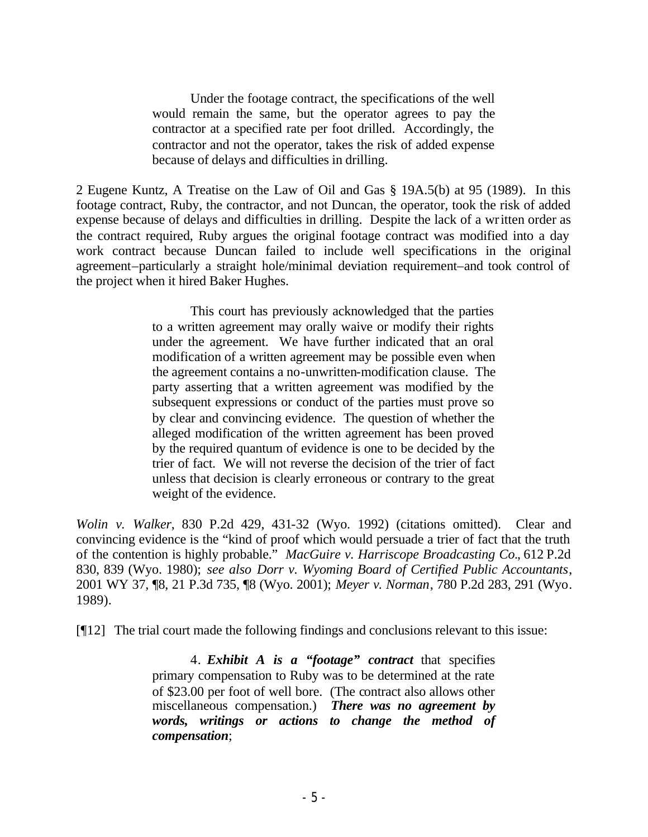Under the footage contract, the specifications of the well would remain the same, but the operator agrees to pay the contractor at a specified rate per foot drilled. Accordingly, the contractor and not the operator, takes the risk of added expense because of delays and difficulties in drilling.

2 Eugene Kuntz, A Treatise on the Law of Oil and Gas § 19A.5(b) at 95 (1989). In this footage contract, Ruby, the contractor, and not Duncan, the operator, took the risk of added expense because of delays and difficulties in drilling. Despite the lack of a written order as the contract required, Ruby argues the original footage contract was modified into a day work contract because Duncan failed to include well specifications in the original agreement–particularly a straight hole/minimal deviation requirement–and took control of the project when it hired Baker Hughes.

> This court has previously acknowledged that the parties to a written agreement may orally waive or modify their rights under the agreement. We have further indicated that an oral modification of a written agreement may be possible even when the agreement contains a no-unwritten-modification clause. The party asserting that a written agreement was modified by the subsequent expressions or conduct of the parties must prove so by clear and convincing evidence. The question of whether the alleged modification of the written agreement has been proved by the required quantum of evidence is one to be decided by the trier of fact. We will not reverse the decision of the trier of fact unless that decision is clearly erroneous or contrary to the great weight of the evidence.

*Wolin v. Walker*, 830 P.2d 429, 431-32 (Wyo. 1992) (citations omitted). Clear and convincing evidence is the "kind of proof which would persuade a trier of fact that the truth of the contention is highly probable." *MacGuire v. Harriscope Broadcasting Co.*, 612 P.2d 830, 839 (Wyo. 1980); *see also Dorr v. Wyoming Board of Certified Public Accountants*, 2001 WY 37, ¶8, 21 P.3d 735, ¶8 (Wyo. 2001); *Meyer v. Norman*, 780 P.2d 283, 291 (Wyo. 1989).

[¶12] The trial court made the following findings and conclusions relevant to this issue:

4. *Exhibit A is a "footage" contract* that specifies primary compensation to Ruby was to be determined at the rate of \$23.00 per foot of well bore. (The contract also allows other miscellaneous compensation.) *There was no agreement by words, writings or actions to change the method of compensation*;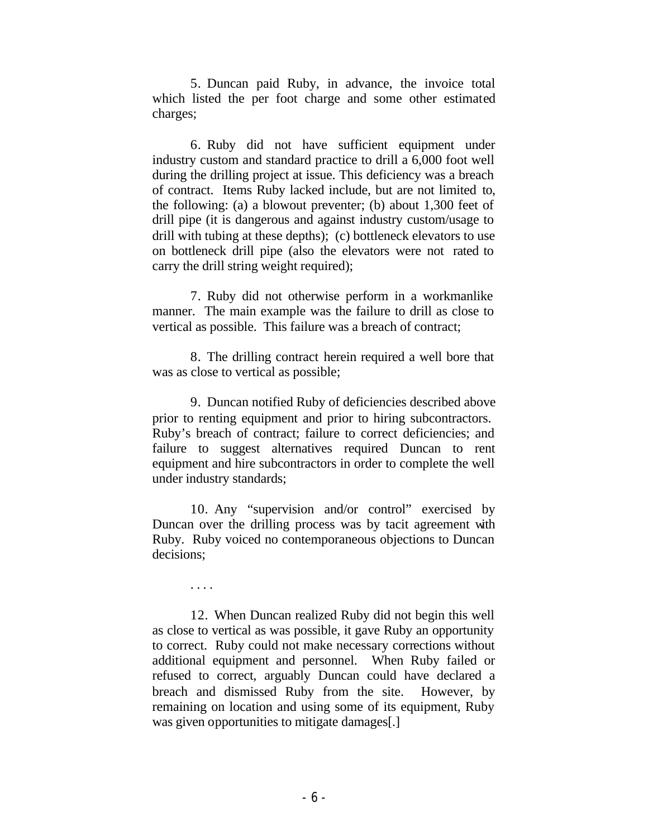5. Duncan paid Ruby, in advance, the invoice total which listed the per foot charge and some other estimated charges;

6. Ruby did not have sufficient equipment under industry custom and standard practice to drill a 6,000 foot well during the drilling project at issue. This deficiency was a breach of contract. Items Ruby lacked include, but are not limited to, the following: (a) a blowout preventer; (b) about 1,300 feet of drill pipe (it is dangerous and against industry custom/usage to drill with tubing at these depths); (c) bottleneck elevators to use on bottleneck drill pipe (also the elevators were not rated to carry the drill string weight required);

7. Ruby did not otherwise perform in a workmanlike manner. The main example was the failure to drill as close to vertical as possible. This failure was a breach of contract;

8. The drilling contract herein required a well bore that was as close to vertical as possible;

9. Duncan notified Ruby of deficiencies described above prior to renting equipment and prior to hiring subcontractors. Ruby's breach of contract; failure to correct deficiencies; and failure to suggest alternatives required Duncan to rent equipment and hire subcontractors in order to complete the well under industry standards;

10. Any "supervision and/or control" exercised by Duncan over the drilling process was by tacit agreement with Ruby. Ruby voiced no contemporaneous objections to Duncan decisions;

. . . .

12. When Duncan realized Ruby did not begin this well as close to vertical as was possible, it gave Ruby an opportunity to correct. Ruby could not make necessary corrections without additional equipment and personnel. When Ruby failed or refused to correct, arguably Duncan could have declared a breach and dismissed Ruby from the site. However, by remaining on location and using some of its equipment, Ruby was given opportunities to mitigate damages[.]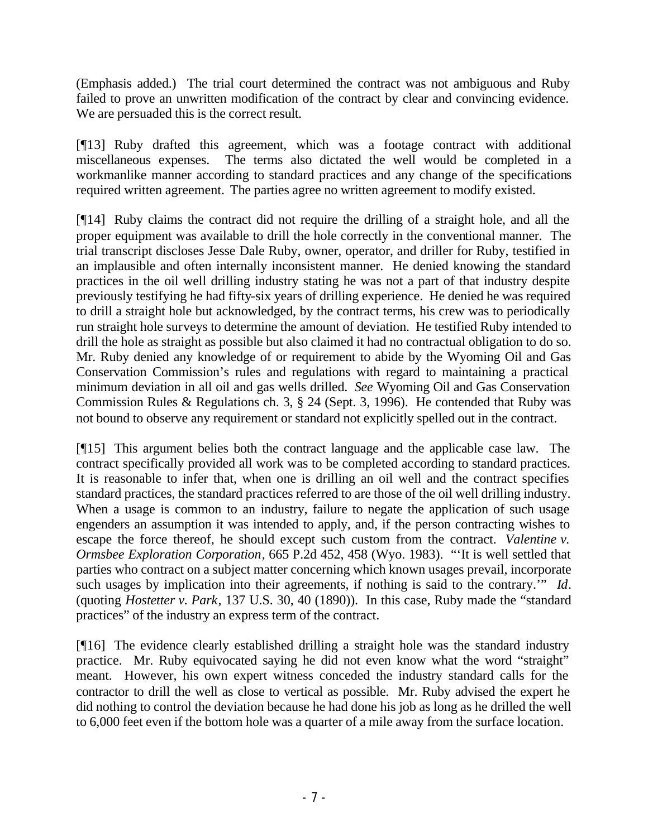(Emphasis added.) The trial court determined the contract was not ambiguous and Ruby failed to prove an unwritten modification of the contract by clear and convincing evidence. We are persuaded this is the correct result.

[¶13] Ruby drafted this agreement, which was a footage contract with additional miscellaneous expenses. The terms also dictated the well would be completed in a workmanlike manner according to standard practices and any change of the specifications required written agreement.The parties agree no written agreement to modify existed.

[¶14] Ruby claims the contract did not require the drilling of a straight hole, and all the proper equipment was available to drill the hole correctly in the conventional manner. The trial transcript discloses Jesse Dale Ruby, owner, operator, and driller for Ruby, testified in an implausible and often internally inconsistent manner. He denied knowing the standard practices in the oil well drilling industry stating he was not a part of that industry despite previously testifying he had fifty-six years of drilling experience. He denied he was required to drill a straight hole but acknowledged, by the contract terms, his crew was to periodically run straight hole surveys to determine the amount of deviation. He testified Ruby intended to drill the hole as straight as possible but also claimed it had no contractual obligation to do so. Mr. Ruby denied any knowledge of or requirement to abide by the Wyoming Oil and Gas Conservation Commission's rules and regulations with regard to maintaining a practical minimum deviation in all oil and gas wells drilled. *See* Wyoming Oil and Gas Conservation Commission Rules & Regulations ch. 3, § 24 (Sept. 3, 1996). He contended that Ruby was not bound to observe any requirement or standard not explicitly spelled out in the contract.

[¶15] This argument belies both the contract language and the applicable case law. The contract specifically provided all work was to be completed according to standard practices. It is reasonable to infer that, when one is drilling an oil well and the contract specifies standard practices, the standard practices referred to are those of the oil well drilling industry. When a usage is common to an industry, failure to negate the application of such usage engenders an assumption it was intended to apply, and, if the person contracting wishes to escape the force thereof, he should except such custom from the contract. *Valentine v. Ormsbee Exploration Corporation*, 665 P.2d 452, 458 (Wyo. 1983). "'It is well settled that parties who contract on a subject matter concerning which known usages prevail, incorporate such usages by implication into their agreements, if nothing is said to the contrary.'" *Id*. (quoting *Hostetter v. Park*, 137 U.S. 30, 40 (1890)). In this case, Ruby made the "standard practices" of the industry an express term of the contract.

[¶16] The evidence clearly established drilling a straight hole was the standard industry practice. Mr. Ruby equivocated saying he did not even know what the word "straight" meant. However, his own expert witness conceded the industry standard calls for the contractor to drill the well as close to vertical as possible. Mr. Ruby advised the expert he did nothing to control the deviation because he had done his job as long as he drilled the well to 6,000 feet even if the bottom hole was a quarter of a mile away from the surface location.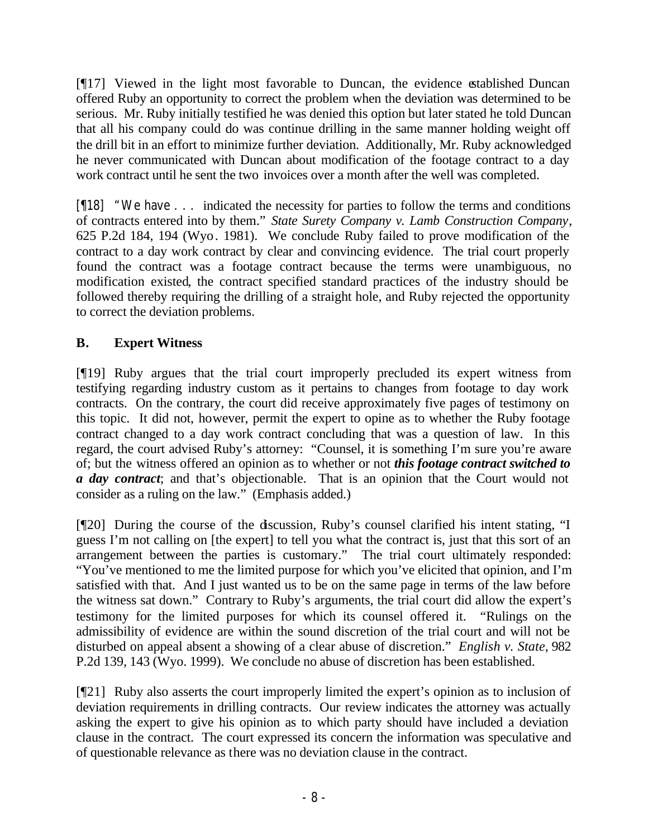[¶17] Viewed in the light most favorable to Duncan, the evidence established Duncan offered Ruby an opportunity to correct the problem when the deviation was determined to be serious. Mr. Ruby initially testified he was denied this option but later stated he told Duncan that all his company could do was continue drilling in the same manner holding weight off the drill bit in an effort to minimize further deviation. Additionally, Mr. Ruby acknowledged he never communicated with Duncan about modification of the footage contract to a day work contract until he sent the two invoices over a month after the well was completed.

[¶18] "We have . . . indicated the necessity for parties to follow the terms and conditions of contracts entered into by them." *State Surety Company v. Lamb Construction Company*, 625 P.2d 184, 194 (Wyo. 1981). We conclude Ruby failed to prove modification of the contract to a day work contract by clear and convincing evidence. The trial court properly found the contract was a footage contract because the terms were unambiguous, no modification existed, the contract specified standard practices of the industry should be followed thereby requiring the drilling of a straight hole, and Ruby rejected the opportunity to correct the deviation problems.

# **B. Expert Witness**

[¶19] Ruby argues that the trial court improperly precluded its expert witness from testifying regarding industry custom as it pertains to changes from footage to day work contracts. On the contrary, the court did receive approximately five pages of testimony on this topic. It did not, however, permit the expert to opine as to whether the Ruby footage contract changed to a day work contract concluding that was a question of law. In this regard, the court advised Ruby's attorney: "Counsel, it is something I'm sure you're aware of; but the witness offered an opinion as to whether or not *this footage contract switched to a day contract*; and that's objectionable. That is an opinion that the Court would not consider as a ruling on the law." (Emphasis added.)

[¶20] During the course of the discussion, Ruby's counsel clarified his intent stating, "I guess I'm not calling on [the expert] to tell you what the contract is, just that this sort of an arrangement between the parties is customary." The trial court ultimately responded: "You've mentioned to me the limited purpose for which you've elicited that opinion, and I'm satisfied with that. And I just wanted us to be on the same page in terms of the law before the witness sat down." Contrary to Ruby's arguments, the trial court did allow the expert's testimony for the limited purposes for which its counsel offered it. "Rulings on the admissibility of evidence are within the sound discretion of the trial court and will not be disturbed on appeal absent a showing of a clear abuse of discretion." *English v. State*, 982 P.2d 139, 143 (Wyo. 1999). We conclude no abuse of discretion has been established.

[¶21] Ruby also asserts the court improperly limited the expert's opinion as to inclusion of deviation requirements in drilling contracts. Our review indicates the attorney was actually asking the expert to give his opinion as to which party should have included a deviation clause in the contract. The court expressed its concern the information was speculative and of questionable relevance as there was no deviation clause in the contract.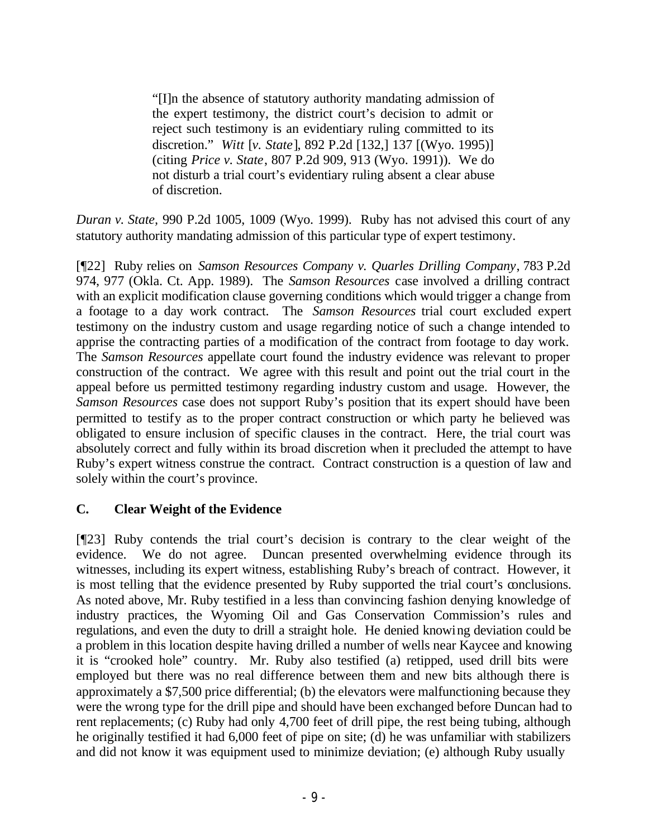"[I]n the absence of statutory authority mandating admission of the expert testimony, the district court's decision to admit or reject such testimony is an evidentiary ruling committed to its discretion." *Witt* [*v. State*], 892 P.2d [132,] 137 [(Wyo. 1995)] (citing *Price v. State*, 807 P.2d 909, 913 (Wyo. 1991)). We do not disturb a trial court's evidentiary ruling absent a clear abuse of discretion.

*Duran v. State,* 990 P.2d 1005, 1009 (Wyo. 1999). Ruby has not advised this court of any statutory authority mandating admission of this particular type of expert testimony.

[¶22] Ruby relies on *Samson Resources Company v. Quarles Drilling Company*, 783 P.2d 974, 977 (Okla. Ct. App. 1989). The *Samson Resources* case involved a drilling contract with an explicit modification clause governing conditions which would trigger a change from a footage to a day work contract. The *Samson Resources* trial court excluded expert testimony on the industry custom and usage regarding notice of such a change intended to apprise the contracting parties of a modification of the contract from footage to day work. The *Samson Resources* appellate court found the industry evidence was relevant to proper construction of the contract. We agree with this result and point out the trial court in the appeal before us permitted testimony regarding industry custom and usage. However, the *Samson Resources* case does not support Ruby's position that its expert should have been permitted to testify as to the proper contract construction or which party he believed was obligated to ensure inclusion of specific clauses in the contract. Here, the trial court was absolutely correct and fully within its broad discretion when it precluded the attempt to have Ruby's expert witness construe the contract. Contract construction is a question of law and solely within the court's province.

## **C. Clear Weight of the Evidence**

[¶23] Ruby contends the trial court's decision is contrary to the clear weight of the evidence. We do not agree. Duncan presented overwhelming evidence through its witnesses, including its expert witness, establishing Ruby's breach of contract. However, it is most telling that the evidence presented by Ruby supported the trial court's conclusions. As noted above, Mr. Ruby testified in a less than convincing fashion denying knowledge of industry practices, the Wyoming Oil and Gas Conservation Commission's rules and regulations, and even the duty to drill a straight hole. He denied knowing deviation could be a problem in this location despite having drilled a number of wells near Kaycee and knowing it is "crooked hole" country. Mr. Ruby also testified (a) retipped, used drill bits were employed but there was no real difference between them and new bits although there is approximately a \$7,500 price differential; (b) the elevators were malfunctioning because they were the wrong type for the drill pipe and should have been exchanged before Duncan had to rent replacements; (c) Ruby had only 4,700 feet of drill pipe, the rest being tubing, although he originally testified it had 6,000 feet of pipe on site; (d) he was unfamiliar with stabilizers and did not know it was equipment used to minimize deviation; (e) although Ruby usually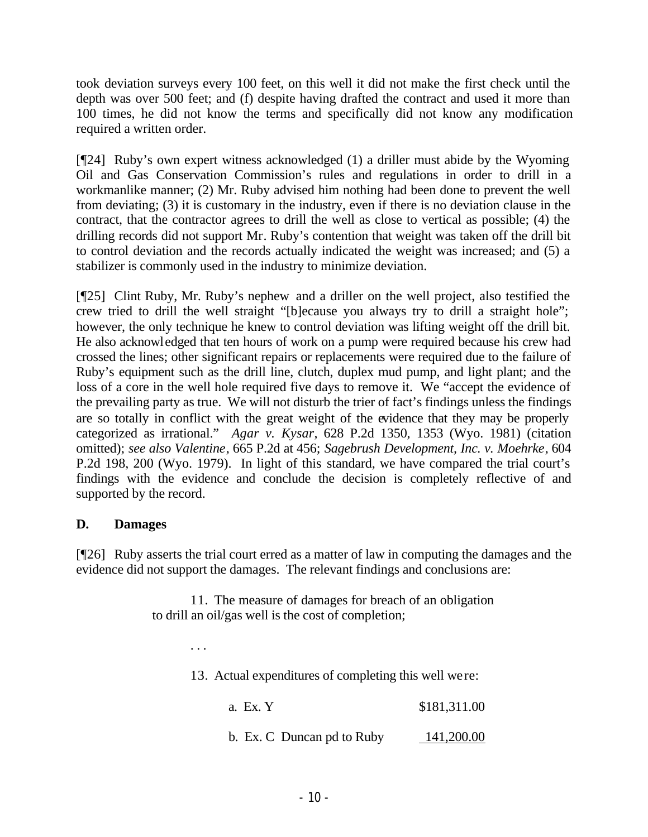took deviation surveys every 100 feet, on this well it did not make the first check until the depth was over 500 feet; and (f) despite having drafted the contract and used it more than 100 times, he did not know the terms and specifically did not know any modification required a written order.

[¶24] Ruby's own expert witness acknowledged (1) a driller must abide by the Wyoming Oil and Gas Conservation Commission's rules and regulations in order to drill in a workmanlike manner; (2) Mr. Ruby advised him nothing had been done to prevent the well from deviating; (3) it is customary in the industry, even if there is no deviation clause in the contract, that the contractor agrees to drill the well as close to vertical as possible; (4) the drilling records did not support Mr. Ruby's contention that weight was taken off the drill bit to control deviation and the records actually indicated the weight was increased; and (5) a stabilizer is commonly used in the industry to minimize deviation.

[¶25] Clint Ruby, Mr. Ruby's nephew and a driller on the well project, also testified the crew tried to drill the well straight "[b]ecause you always try to drill a straight hole"; however, the only technique he knew to control deviation was lifting weight off the drill bit. He also acknowledged that ten hours of work on a pump were required because his crew had crossed the lines; other significant repairs or replacements were required due to the failure of Ruby's equipment such as the drill line, clutch, duplex mud pump, and light plant; and the loss of a core in the well hole required five days to remove it. We "accept the evidence of the prevailing party as true. We will not disturb the trier of fact's findings unless the findings are so totally in conflict with the great weight of the evidence that they may be properly categorized as irrational." *Agar v. Kysar*, 628 P.2d 1350, 1353 (Wyo. 1981) (citation omitted); *see also Valentine*, 665 P.2d at 456; *Sagebrush Development, Inc. v. Moehrke*, 604 P.2d 198, 200 (Wyo. 1979). In light of this standard, we have compared the trial court's findings with the evidence and conclude the decision is completely reflective of and supported by the record.

## **D. Damages**

[¶26] Ruby asserts the trial court erred as a matter of law in computing the damages and the evidence did not support the damages. The relevant findings and conclusions are:

> 11. The measure of damages for breach of an obligation to drill an oil/gas well is the cost of completion;

> > . . .

13. Actual expenditures of completing this well were:

a. Ex. Y \$181,311.00

b. Ex. C Duncan pd to Ruby 141,200.00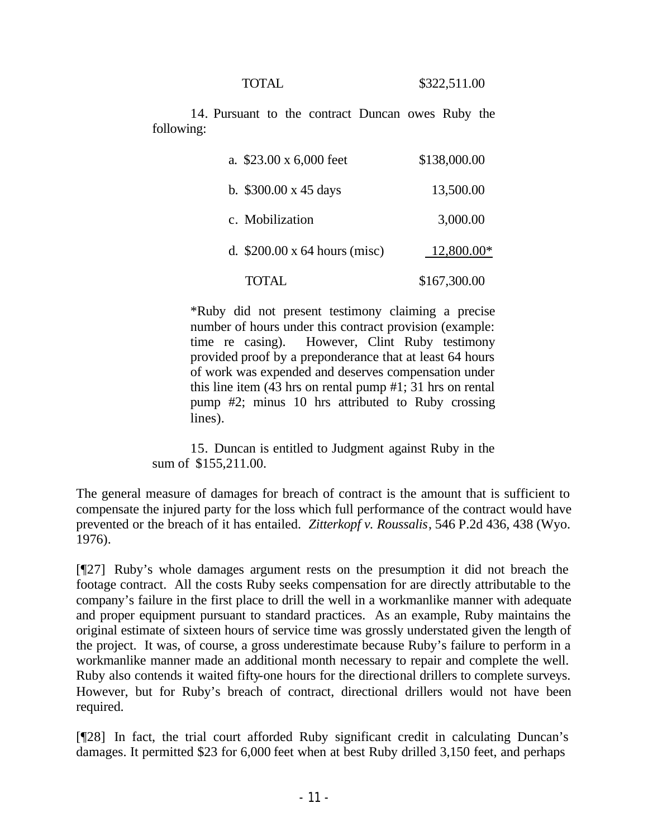14. Pursuant to the contract Duncan owes Ruby the following:

| a. \$23.00 x 6,000 feet             | \$138,000.00 |
|-------------------------------------|--------------|
| b. $$300.00 \times 45 \text{ days}$ | 13,500.00    |
| c. Mobilization                     | 3,000.00     |
| d. $$200.00 \times 64$ hours (misc) | 12,800.00*   |
| TOTAL                               | \$167,300.00 |

\*Ruby did not present testimony claiming a precise number of hours under this contract provision (example: time re casing). However, Clint Ruby testimony provided proof by a preponderance that at least 64 hours of work was expended and deserves compensation under this line item (43 hrs on rental pump #1; 31 hrs on rental pump #2; minus 10 hrs attributed to Ruby crossing lines).

15. Duncan is entitled to Judgment against Ruby in the sum of \$155,211.00.

The general measure of damages for breach of contract is the amount that is sufficient to compensate the injured party for the loss which full performance of the contract would have prevented or the breach of it has entailed. *Zitterkopf v. Roussalis*, 546 P.2d 436, 438 (Wyo. 1976).

[¶27] Ruby's whole damages argument rests on the presumption it did not breach the footage contract. All the costs Ruby seeks compensation for are directly attributable to the company's failure in the first place to drill the well in a workmanlike manner with adequate and proper equipment pursuant to standard practices. As an example, Ruby maintains the original estimate of sixteen hours of service time was grossly understated given the length of the project. It was, of course, a gross underestimate because Ruby's failure to perform in a workmanlike manner made an additional month necessary to repair and complete the well. Ruby also contends it waited fifty-one hours for the directional drillers to complete surveys. However, but for Ruby's breach of contract, directional drillers would not have been required.

[¶28] In fact, the trial court afforded Ruby significant credit in calculating Duncan's damages. It permitted \$23 for 6,000 feet when at best Ruby drilled 3,150 feet, and perhaps